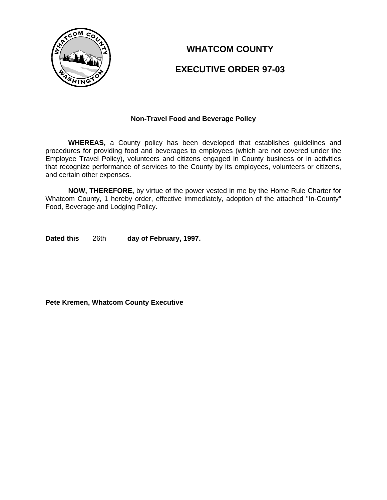

# **WHATCOM COUNTY**

# **EXECUTIVE ORDER 97-03**

### **Non-Travel Food and Beverage Policy**

**WHEREAS,** a County policy has been developed that establishes guidelines and procedures for providing food and beverages to employees (which are not covered under the Employee Travel Policy), volunteers and citizens engaged in County business or in activities that recognize performance of services to the County by its employees, volunteers or citizens, and certain other expenses.

**NOW, THEREFORE,** by virtue of the power vested in me by the Home Rule Charter for Whatcom County, 1 hereby order, effective immediately, adoption of the attached "In-County" Food, Beverage and Lodging Policy.

**Dated this** 26th **day of February, 1997.**

**Pete Kremen, Whatcom County Executive**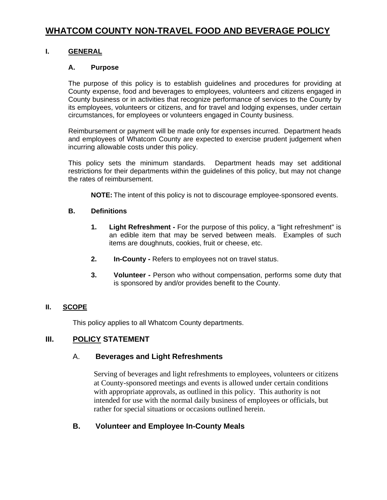# **WHATCOM COUNTY NON-TRAVEL FOOD AND BEVERAGE POLICY**

## **I. GENERAL**

### **A. Purpose**

The purpose of this policy is to establish guidelines and procedures for providing at County expense, food and beverages to employees, volunteers and citizens engaged in County business or in activities that recognize performance of services to the County by its employees, volunteers or citizens, and for travel and lodging expenses, under certain circumstances, for employees or volunteers engaged in County business.

Reimbursement or payment will be made only for expenses incurred. Department heads and employees of Whatcom County are expected to exercise prudent judgement when incurring allowable costs under this policy.

This policy sets the minimum standards. Department heads may set additional restrictions for their departments within the guidelines of this policy, but may not change the rates of reimbursement.

**NOTE:** The intent of this policy is not to discourage employee-sponsored events.

#### **B. Definitions**

- **1. Light Refreshment** For the purpose of this policy, a "light refreshment" is an edible item that may be served between meals. Examples of such items are doughnuts, cookies, fruit or cheese, etc.
- **2. In-County** Refers to employees not on travel status.
- **3. Volunteer** Person who without compensation, performs some duty that is sponsored by and/or provides benefit to the County.

### **II. SCOPE**

This policy applies to all Whatcom County departments.

### **III. POLICY STATEMENT**

### A. **Beverages and Light Refreshments**

Serving of beverages and light refreshments to employees, volunteers or citizens at County-sponsored meetings and events is allowed under certain conditions with appropriate approvals, as outlined in this policy. This authority is not intended for use with the normal daily business of employees or officials, but rather for special situations or occasions outlined herein.

## **B. Volunteer and Employee In-County Meals**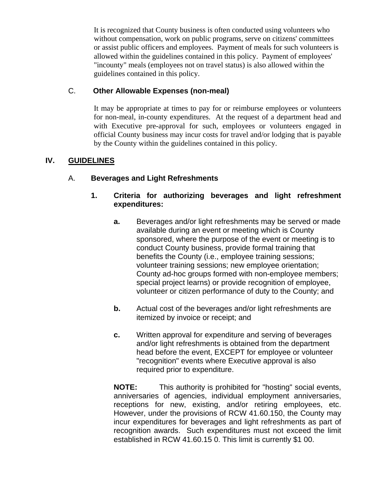It is recognized that County business is often conducted using volunteers who without compensation, work on public programs, serve on citizens' committees or assist public officers and employees. Payment of meals for such volunteers is allowed within the guidelines contained in this policy. Payment of employees' "incounty" meals (employees not on travel status) is also allowed within the guidelines contained in this policy.

# C. **Other Allowable Expenses (non-meal)**

It may be appropriate at times to pay for or reimburse employees or volunteers for non-meal, in-county expenditures. At the request of a department head and with Executive pre-approval for such, employees or volunteers engaged in official County business may incur costs for travel and/or lodging that is payable by the County within the guidelines contained in this policy.

# **IV. GUIDELINES**

# A. **Beverages and Light Refreshments**

# **1. Criteria for authorizing beverages and light refreshment expenditures:**

- **a.** Beverages and/or light refreshments may be served or made available during an event or meeting which is County sponsored, where the purpose of the event or meeting is to conduct County business, provide formal training that benefits the County (i.e., employee training sessions; volunteer training sessions; new employee orientation; County ad-hoc groups formed with non-employee members; special project learns) or provide recognition of employee, volunteer or citizen performance of duty to the County; and
- **b.** Actual cost of the beverages and/or light refreshments are itemized by invoice or receipt; and
- **c.** Written approval for expenditure and serving of beverages and/or light refreshments is obtained from the department head before the event, EXCEPT for employee or volunteer "recognition" events where Executive approval is also required prior to expenditure.

**NOTE:** This authority is prohibited for "hosting" social events, anniversaries of agencies, individual employment anniversaries, receptions for new, existing, and/or retiring employees, etc. However, under the provisions of RCW 41.60.150, the County may incur expenditures for beverages and light refreshments as part of recognition awards. Such expenditures must not exceed the limit established in RCW 41.60.15 0. This limit is currently \$1 00.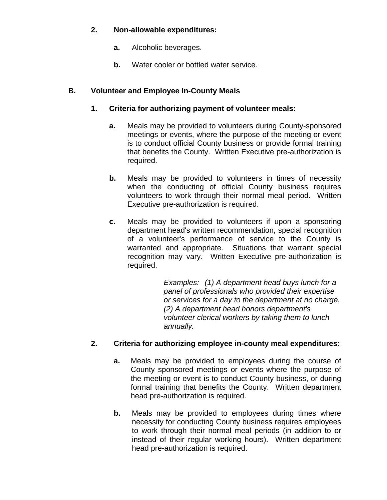## **2. Non-allowable expenditures:**

- **a.** Alcoholic beverages.
- **b.** Water cooler or bottled water service.

## **B. Volunteer and Employee In-County Meals**

- **1. Criteria for authorizing payment of volunteer meals:**
	- **a.** Meals may be provided to volunteers during County-sponsored meetings or events, where the purpose of the meeting or event is to conduct official County business or provide formal training that benefits the County. Written Executive pre-authorization is required.
	- **b.** Meals may be provided to volunteers in times of necessity when the conducting of official County business requires volunteers to work through their normal meal period. Written Executive pre-authorization is required.
	- **c.** Meals may be provided to volunteers if upon a sponsoring department head's written recommendation, special recognition of a volunteer's performance of service to the County is warranted and appropriate. Situations that warrant special recognition may vary. Written Executive pre-authorization is required.

*Examples: (1) A department head buys lunch for a panel of professionals who provided their expertise or services for a day to the department at no charge. (2) A department head honors department's volunteer clerical workers by taking them to lunch annually.*

# **2. Criteria for authorizing employee in-county meal expenditures:**

- **a.** Meals may be provided to employees during the course of County sponsored meetings or events where the purpose of the meeting or event is to conduct County business, or during formal training that benefits the County. Written department head pre-authorization is required.
- **b.** Meals may be provided to employees during times where necessity for conducting County business requires employees to work through their normal meal periods (in addition to or instead of their regular working hours). Written department head pre-authorization is required.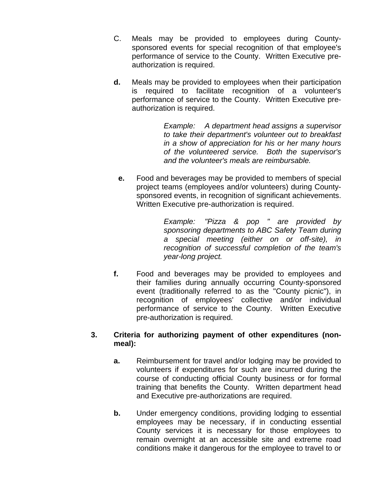- C. Meals may be provided to employees during Countysponsored events for special recognition of that employee's performance of service to the County. Written Executive preauthorization is required.
- **d.** Meals may be provided to employees when their participation is required to facilitate recognition of a volunteer's performance of service to the County. Written Executive preauthorization is required.

*Example: A department head assigns a supervisor to take their department's volunteer out to breakfast in a show of appreciation for his or her many hours of the volunteered service. Both the supervisor's and the volunteer's meals are reimbursable.*

**e.** Food and beverages may be provided to members of special project teams (employees and/or volunteers) during Countysponsored events, in recognition of significant achievements. Written Executive pre-authorization is required.

> *Example: "Pizza & pop " are provided by sponsoring departments to ABC Safety Team during a special meeting (either on or off-site), in recognition of successful completion of the team's year-long project.*

**f.** Food and beverages may be provided to employees and their families during annually occurring County-sponsored event (traditionally referred to as the "County picnic"), in recognition of employees' collective and/or individual performance of service to the County. Written Executive pre-authorization is required.

## **3. Criteria for authorizing payment of other expenditures (nonmeal):**

- **a.** Reimbursement for travel and/or lodging may be provided to volunteers if expenditures for such are incurred during the course of conducting official County business or for formal training that benefits the County. Written department head and Executive pre-authorizations are required.
- **b.** Under emergency conditions, providing lodging to essential employees may be necessary, if in conducting essential County services it is necessary for those employees to remain overnight at an accessible site and extreme road conditions make it dangerous for the employee to travel to or